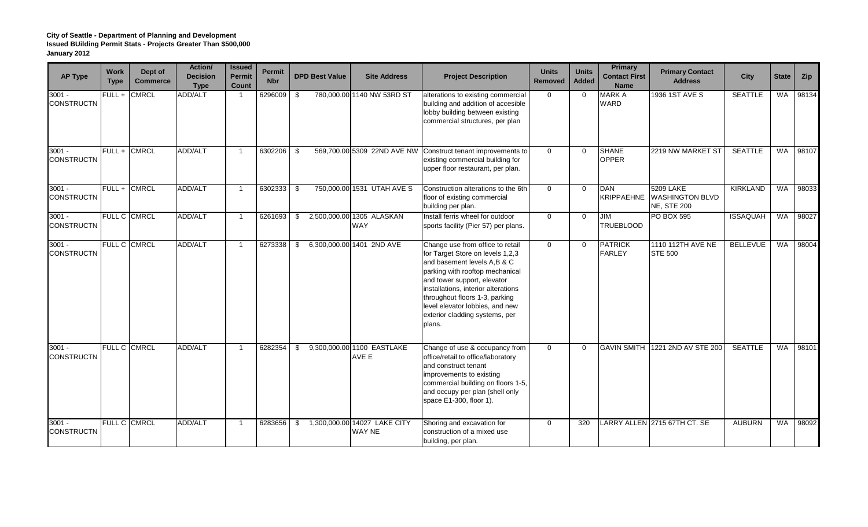| <b>AP Type</b>                | <b>Work</b><br><b>Type</b> | Dept of<br><b>Commerce</b> | Action/<br><b>Decision</b><br><b>Type</b> | <b>Issued</b><br>Permit<br>Count | <b>Permit</b><br><b>Nbr</b> | <b>DPD Best Value</b> | <b>Site Address</b>                           | <b>Project Description</b>                                                                                                                                                                                                                                                                                                    | <b>Units</b><br>Removed | <b>Units</b><br><b>Added</b> | <b>Primary</b><br><b>Contact First</b><br><b>Name</b> | <b>Primary Contact</b><br><b>Address</b>                         | <b>City</b>     | <b>State</b> | Zip   |
|-------------------------------|----------------------------|----------------------------|-------------------------------------------|----------------------------------|-----------------------------|-----------------------|-----------------------------------------------|-------------------------------------------------------------------------------------------------------------------------------------------------------------------------------------------------------------------------------------------------------------------------------------------------------------------------------|-------------------------|------------------------------|-------------------------------------------------------|------------------------------------------------------------------|-----------------|--------------|-------|
| $3001 -$<br><b>CONSTRUCTN</b> | $FULL +$                   | <b>CMRCL</b>               | ADD/ALT                                   | -1                               | 6296009                     | -\$                   | 780,000.00 1140 NW 53RD ST                    | alterations to existing commercial<br>building and addition of accesible<br>lobby building between existing<br>commercial structures, per plan                                                                                                                                                                                | $\mathbf 0$             | $\Omega$                     | <b>MARK A</b><br><b>WARD</b>                          | 1936 1ST AVE S                                                   | <b>SEATTLE</b>  | <b>WA</b>    | 98134 |
| $3001 -$<br><b>CONSTRUCTN</b> | FULL + CMRCL               |                            | ADD/ALT                                   |                                  | 6302206                     | \$                    | 569,700.00 5309 22ND AVE NW                   | Construct tenant improvements to<br>existing commercial building for<br>upper floor restaurant, per plan.                                                                                                                                                                                                                     | $\Omega$                | $\Omega$                     | <b>SHANE</b><br><b>OPPER</b>                          | 2219 NW MARKET ST                                                | <b>SEATTLE</b>  | <b>WA</b>    | 98107 |
| $3001 -$<br><b>CONSTRUCTN</b> |                            | FULL + CMRCL               | ADD/ALT                                   |                                  | 6302333                     | \$                    | 750,000.00 1531 UTAH AVE S                    | Construction alterations to the 6th<br>floor of existing commercial<br>building per plan.                                                                                                                                                                                                                                     | $\Omega$                | $\Omega$                     | <b>DAN</b><br><b>KRIPPAEHNE</b>                       | <b>5209 LAKE</b><br><b>WASHINGTON BLVD</b><br><b>NE, STE 200</b> | <b>KIRKLAND</b> | WA           | 98033 |
| $3001 -$<br><b>CONSTRUCTN</b> | FULL C CMRCL               |                            | ADD/ALT                                   |                                  | 6261693                     | - \$                  | 2,500,000.00 1305 ALASKAN<br><b>WAY</b>       | Install ferris wheel for outdoor<br>sports facility (Pier 57) per plans.                                                                                                                                                                                                                                                      | $\Omega$                | $\Omega$                     | <b>JIM</b><br><b>TRUEBLOOD</b>                        | <b>PO BOX 595</b>                                                | <b>ISSAQUAH</b> | <b>WA</b>    | 98027 |
| $3001 -$<br><b>CONSTRUCTN</b> |                            | FULL C CMRCL               | <b>ADD/ALT</b>                            | -1                               | 6273338                     | \$                    | 6,300,000.00 1401 2ND AVE                     | Change use from office to retail<br>for Target Store on levels 1,2,3<br>and basement levels A,B & C<br>parking with rooftop mechanical<br>and tower support, elevator<br>installations, interior alterations<br>throughout floors 1-3, parking<br>level elevator lobbies, and new<br>exterior cladding systems, per<br>plans. | $\Omega$                | $\Omega$                     | <b>PATRICK</b><br><b>FARLEY</b>                       | 1110 112TH AVE NE<br><b>STE 500</b>                              | <b>BELLEVUE</b> | <b>WA</b>    | 98004 |
| $3001 -$<br><b>CONSTRUCTN</b> |                            | FULL C CMRCL               | ADD/ALT                                   | -1                               | 6282354                     | \$                    | 9,300,000.00 1100 EASTLAKE<br>AVE E           | Change of use & occupancy from<br>office/retail to office/laboratory<br>and construct tenant<br>improvements to existing<br>commercial building on floors 1-5,<br>and occupy per plan (shell only<br>space E1-300, floor 1).                                                                                                  | $\mathbf 0$             | $\mathbf 0$                  | <b>GAVIN SMITH</b>                                    | 1221 2ND AV STE 200                                              | <b>SEATTLE</b>  | <b>WA</b>    | 98101 |
| $3001 -$<br><b>CONSTRUCTN</b> |                            | FULL C CMRCL               | ADD/ALT                                   |                                  | 6283656                     | - \$                  | 1,300,000.00 14027 LAKE CITY<br><b>WAY NE</b> | Shoring and excavation for<br>construction of a mixed use<br>building, per plan.                                                                                                                                                                                                                                              | $\Omega$                | 320                          |                                                       | LARRY ALLEN 2715 67TH CT. SE                                     | <b>AUBURN</b>   | <b>WA</b>    | 98092 |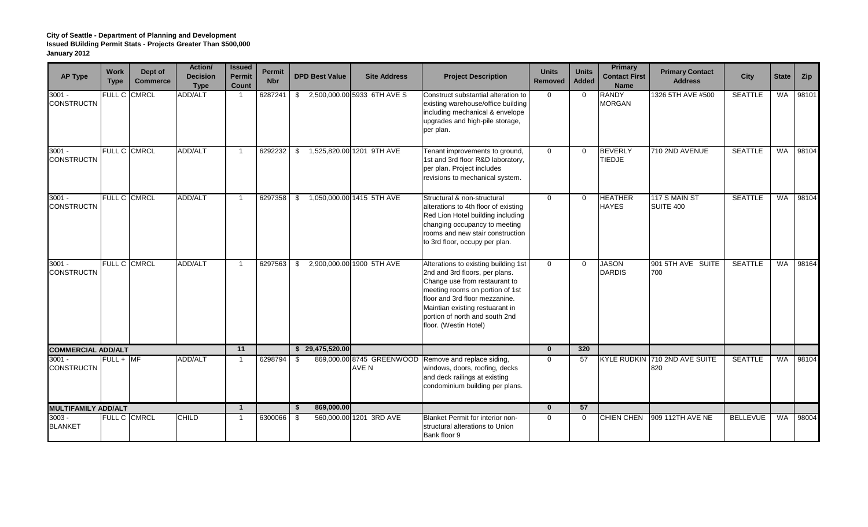| <b>AP Type</b>                | <b>Work</b><br><b>Type</b> | Dept of<br><b>Commerce</b> | Action/<br><b>Decision</b><br><b>Type</b> | <b>Issued</b><br>Permit<br>Count | <b>Permit</b><br><b>Nbr</b> | <b>DPD Best Value</b> | <b>Site Address</b>                | <b>Project Description</b>                                                                                                                                                                                                                                                 | <b>Units</b><br><b>Removed</b> | <b>Units</b><br><b>Added</b> | <b>Primary</b><br><b>Contact First</b><br><b>Name</b> | <b>Primary Contact</b><br><b>Address</b> | <b>City</b>     | <b>State</b> | Zip   |
|-------------------------------|----------------------------|----------------------------|-------------------------------------------|----------------------------------|-----------------------------|-----------------------|------------------------------------|----------------------------------------------------------------------------------------------------------------------------------------------------------------------------------------------------------------------------------------------------------------------------|--------------------------------|------------------------------|-------------------------------------------------------|------------------------------------------|-----------------|--------------|-------|
| $3001 -$<br><b>CONSTRUCTN</b> | FULL C CMRCL               |                            | ADD/ALT                                   | $\overline{\mathbf{1}}$          | 6287241                     | \$                    | 2,500,000.00 5933 6TH AVE S        | Construct substantial alteration to<br>existing warehouse/office building<br>including mechanical & envelope<br>upgrades and high-pile storage,<br>per plan.                                                                                                               | $\Omega$                       | $\Omega$                     | <b>RANDY</b><br><b>MORGAN</b>                         | 1326 5TH AVE #500                        | <b>SEATTLE</b>  | WA           | 98101 |
| $3001 -$<br><b>CONSTRUCTN</b> | FULL C CMRCL               |                            | ADD/ALT                                   | $\mathbf 1$                      | 6292232                     | \$                    | 1,525,820.00 1201 9TH AVE          | Tenant improvements to ground,<br>1st and 3rd floor R&D laboratory,<br>per plan. Project includes<br>revisions to mechanical system.                                                                                                                                       | $\Omega$                       | $\Omega$                     | <b>BEVERLY</b><br><b>TIEDJE</b>                       | 710 2ND AVENUE                           | <b>SEATTLE</b>  | <b>WA</b>    | 98104 |
| $3001 -$<br><b>CONSTRUCTN</b> | <b>FULL C CMRCL</b>        |                            | ADD/ALT                                   | $\mathbf{1}$                     | 6297358                     | \$                    | 1,050,000.00 1415 5TH AVE          | Structural & non-structural<br>alterations to 4th floor of existing<br>Red Lion Hotel building including<br>changing occupancy to meeting<br>rooms and new stair construction<br>to 3rd floor, occupy per plan.                                                            | $\Omega$                       | $\Omega$                     | <b>HEATHER</b><br><b>HAYES</b>                        | 117 S MAIN ST<br><b>SUITE 400</b>        | <b>SEATTLE</b>  | <b>WA</b>    | 98104 |
| $3001 -$<br><b>CONSTRUCTN</b> | FULL C CMRCL               |                            | ADD/ALT                                   | $\mathbf{1}$                     | 6297563                     | \$                    | 2,900,000.00 1900 5TH AVE          | Alterations to existing building 1st<br>2nd and 3rd floors, per plans.<br>Change use from restaurant to<br>meeting rooms on portion of 1st<br>floor and 3rd floor mezzanine.<br>Maintian existing restuarant in<br>portion of north and south 2nd<br>floor. (Westin Hotel) | $\mathbf 0$                    | $\overline{0}$               | <b>JASON</b><br><b>DARDIS</b>                         | 901 5TH AVE SUITE<br>700                 | <b>SEATTLE</b>  | <b>WA</b>    | 98164 |
| <b>COMMERCIAL ADD/ALT</b>     |                            |                            |                                           | 11                               |                             | \$29,475,520.00       |                                    |                                                                                                                                                                                                                                                                            | $\mathbf{0}$                   | 320                          |                                                       |                                          |                 |              |       |
| $3001 -$<br><b>CONSTRUCTN</b> | $FULL +$ MF                |                            | ADD/ALT                                   | -1                               | 6298794                     | - \$                  | 869,000.00 8745 GREENWOOD<br>AVE N | Remove and replace siding,<br>windows, doors, roofing, decks<br>and deck railings at existing<br>condominium building per plans.                                                                                                                                           | $\Omega$                       | 57                           | <b>KYLE RUDKIN</b>                                    | 710 2ND AVE SUITE<br>820                 | <b>SEATTLE</b>  | <b>WA</b>    | 98104 |
| <b>MULTIFAMILY ADD/ALT</b>    |                            |                            |                                           | $\mathbf{1}$                     |                             | 869,000.00<br>\$      |                                    |                                                                                                                                                                                                                                                                            | $\Omega$                       | 57                           |                                                       |                                          |                 |              |       |
| $3003 -$<br><b>BLANKET</b>    | FULL C CMRCL               |                            | <b>CHILD</b>                              | -1                               | 6300066                     | - \$                  | 560,000.00 1201 3RD AVE            | Blanket Permit for interior non-<br>structural alterations to Union<br>Bank floor 9                                                                                                                                                                                        | $\mathbf 0$                    | $\mathbf 0$                  | <b>CHIEN CHEN</b>                                     | 909 112TH AVE NE                         | <b>BELLEVUE</b> | WA           | 98004 |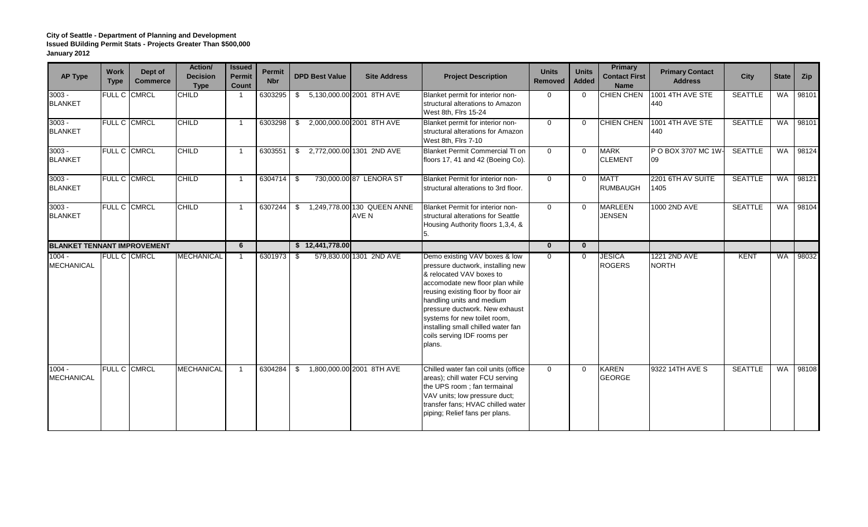| <b>AP Type</b>                     | <b>Work</b><br><b>Type</b> | Dept of<br><b>Commerce</b> | Action/<br><b>Decision</b><br><b>Type</b> | <b>Issued</b><br><b>Permit</b><br>Count | <b>Permit</b><br><b>Nbr</b> | <b>DPD Best Value</b> | <b>Site Address</b>                  | <b>Project Description</b>                                                                                                                                                                                                                                                                                                                             | <b>Units</b><br>Removed | <b>Units</b><br><b>Added</b> | <b>Primary</b><br><b>Contact First</b><br><b>Name</b> | <b>Primary Contact</b><br><b>Address</b> | <b>City</b>    | <b>State</b> | Zip   |
|------------------------------------|----------------------------|----------------------------|-------------------------------------------|-----------------------------------------|-----------------------------|-----------------------|--------------------------------------|--------------------------------------------------------------------------------------------------------------------------------------------------------------------------------------------------------------------------------------------------------------------------------------------------------------------------------------------------------|-------------------------|------------------------------|-------------------------------------------------------|------------------------------------------|----------------|--------------|-------|
| $3003 -$<br><b>BLANKET</b>         | FULL C CMRCL               |                            | <b>CHILD</b>                              |                                         | 6303295                     | \$                    | 5,130,000.00 2001 8TH AVE            | Blanket permit for interior non-<br>structural alterations to Amazon<br>West 8th, Firs 15-24                                                                                                                                                                                                                                                           | $\mathbf 0$             | $\Omega$                     | <b>CHIEN CHEN</b>                                     | 1001 4TH AVE STE<br>440                  | <b>SEATTLE</b> | WA           | 98101 |
| $3003 -$<br><b>BLANKET</b>         | <b>FULL C CMRCL</b>        |                            | <b>CHILD</b>                              |                                         | 6303298                     | - \$                  | 2,000,000.00 2001 8TH AVE            | Blanket permit for interior non-<br>structural alterations for Amazon<br>West 8th, Firs 7-10                                                                                                                                                                                                                                                           | $\mathbf 0$             | $\Omega$                     | <b>CHIEN CHEN</b>                                     | 1001 4TH AVE STE<br>440                  | <b>SEATTLE</b> | <b>WA</b>    | 98101 |
| $3003 -$<br><b>BLANKET</b>         | <b>FULL C CMRCL</b>        |                            | <b>CHILD</b>                              |                                         | 6303551                     | \$                    | 2,772,000.00 1301 2ND AVE            | <b>Blanket Permit Commercial TI on</b><br>floors 17, 41 and 42 (Boeing Co).                                                                                                                                                                                                                                                                            | $\Omega$                | $\Omega$                     | <b>MARK</b><br><b>CLEMENT</b>                         | P O BOX 3707 MC 1W<br>09                 | <b>SEATTLE</b> | <b>WA</b>    | 98124 |
| $3003 -$<br><b>BLANKET</b>         | <b>FULL C CMRCL</b>        |                            | <b>CHILD</b>                              |                                         | 6304714                     | - \$                  | 730,000.00 87 LENORA ST              | Blanket Permit for interior non-<br>structural alterations to 3rd floor.                                                                                                                                                                                                                                                                               | $\Omega$                | $\mathbf{0}$                 | <b>MATT</b><br><b>RUMBAUGH</b>                        | 2201 6TH AV SUITE<br>1405                | <b>SEATTLE</b> | WA           | 98121 |
| $3003 -$<br><b>BLANKET</b>         | <b>FULL C CMRCL</b>        |                            | <b>CHILD</b>                              |                                         | 6307244                     | \$                    | 1,249,778.00 130 QUEEN ANNE<br>AVE N | Blanket Permit for interior non-<br>structural alterations for Seattle<br>Housing Authority floors 1,3,4, &                                                                                                                                                                                                                                            | $\Omega$                | $\Omega$                     | <b>MARLEEN</b><br>JENSEN                              | 1000 2ND AVE                             | <b>SEATTLE</b> | WA           | 98104 |
| <b>BLANKET TENNANT IMPROVEMENT</b> |                            |                            |                                           | 6                                       |                             | \$12,441,778.00       |                                      |                                                                                                                                                                                                                                                                                                                                                        | $\mathbf{0}$            | $\mathbf{0}$                 |                                                       |                                          |                |              |       |
| $1004 -$<br><b>MECHANICAL</b>      | <b>FULL C CMRCL</b>        |                            | <b>MECHANICAL</b>                         |                                         | 6301973                     | - \$                  | 579,830.00 1301 2ND AVE              | Demo existing VAV boxes & low<br>pressure ductwork, installing new<br>& relocated VAV boxes to<br>accomodate new floor plan while<br>reusing existing floor by floor air<br>handling units and medium<br>pressure ductwork. New exhaust<br>systems for new toilet room,<br>installing small chilled water fan<br>coils serving IDF rooms per<br>plans. | $\Omega$                | $\Omega$                     | <b>JESICA</b><br><b>ROGERS</b>                        | 1221 2ND AVE<br><b>NORTH</b>             | <b>KENT</b>    | <b>WA</b>    | 98032 |
| $1004 -$<br><b>MECHANICAL</b>      | FULL C CMRCL               |                            | <b>MECHANICAL</b>                         |                                         | 6304284                     | \$                    | 1,800,000.00 2001 8TH AVE            | Chilled water fan coil units (office<br>areas); chill water FCU serving<br>the UPS room; fan termainal<br>VAV units; low pressure duct;<br>transfer fans; HVAC chilled water<br>piping; Relief fans per plans.                                                                                                                                         | $\mathbf 0$             | $\Omega$                     | <b>KAREN</b><br><b>GEORGE</b>                         | 9322 14TH AVE S                          | <b>SEATTLE</b> | <b>WA</b>    | 98108 |